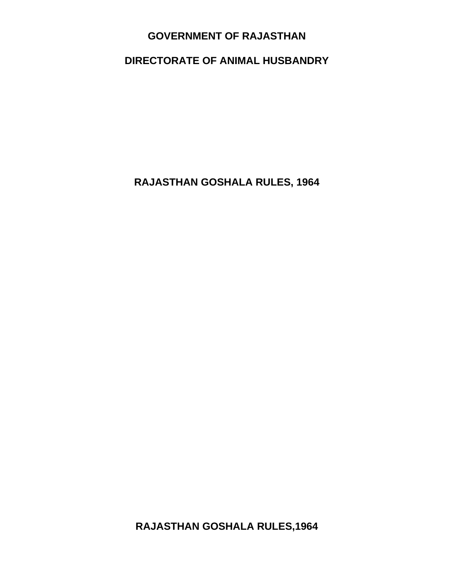## **GOVERNMENT OF RAJASTHAN**

## **DIRECTORATE OF ANIMAL HUSBANDRY**

**RAJASTHAN GOSHALA RULES, 1964** 

**RAJASTHAN GOSHALA RULES,1964**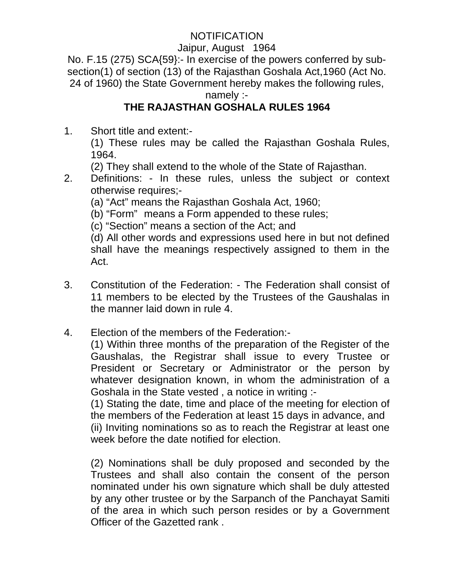# NOTIFICATION

## Jaipur, August 1964

No. F.15 (275) SCA{59}:- In exercise of the powers conferred by subsection(1) of section (13) of the Rajasthan Goshala Act,1960 (Act No. 24 of 1960) the State Government hereby makes the following rules,

### namely :-

# **THE RAJASTHAN GOSHALA RULES 1964**

1. Short title and extent:-

 (1) These rules may be called the Rajasthan Goshala Rules, 1964.

(2) They shall extend to the whole of the State of Rajasthan.

- 2. Definitions: In these rules, unless the subject or context otherwise requires;-
	- (a) "Act" means the Rajasthan Goshala Act, 1960;
	- (b) "Form" means a Form appended to these rules;

(c) "Section" means a section of the Act; and

 (d) All other words and expressions used here in but not defined shall have the meanings respectively assigned to them in the Act.

- 3. Constitution of the Federation: The Federation shall consist of 11 members to be elected by the Trustees of the Gaushalas in the manner laid down in rule 4.
- 4. Election of the members of the Federation:-

 (1) Within three months of the preparation of the Register of the Gaushalas, the Registrar shall issue to every Trustee or President or Secretary or Administrator or the person by whatever designation known, in whom the administration of a Goshala in the State vested , a notice in writing :-

 (1) Stating the date, time and place of the meeting for election of the members of the Federation at least 15 days in advance, and (ii) Inviting nominations so as to reach the Registrar at least one week before the date notified for election.

 (2) Nominations shall be duly proposed and seconded by the Trustees and shall also contain the consent of the person nominated under his own signature which shall be duly attested by any other trustee or by the Sarpanch of the Panchayat Samiti of the area in which such person resides or by a Government Officer of the Gazetted rank .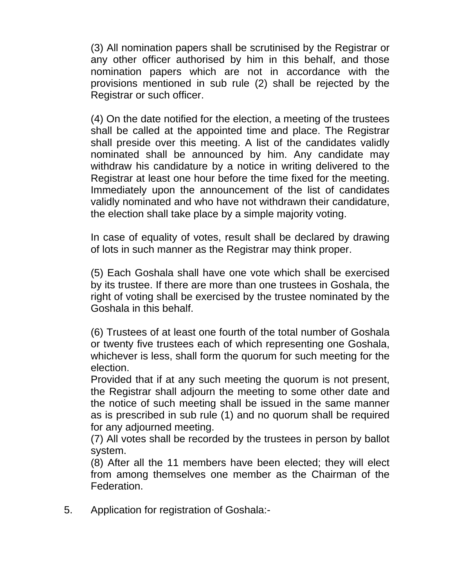(3) All nomination papers shall be scrutinised by the Registrar or any other officer authorised by him in this behalf, and those nomination papers which are not in accordance with the provisions mentioned in sub rule (2) shall be rejected by the Registrar or such officer.

 (4) On the date notified for the election, a meeting of the trustees shall be called at the appointed time and place. The Registrar shall preside over this meeting. A list of the candidates validly nominated shall be announced by him. Any candidate may withdraw his candidature by a notice in writing delivered to the Registrar at least one hour before the time fixed for the meeting. Immediately upon the announcement of the list of candidates validly nominated and who have not withdrawn their candidature, the election shall take place by a simple majority voting.

 In case of equality of votes, result shall be declared by drawing of lots in such manner as the Registrar may think proper.

 (5) Each Goshala shall have one vote which shall be exercised by its trustee. If there are more than one trustees in Goshala, the right of voting shall be exercised by the trustee nominated by the Goshala in this behalf.

 (6) Trustees of at least one fourth of the total number of Goshala or twenty five trustees each of which representing one Goshala, whichever is less, shall form the quorum for such meeting for the election.

 Provided that if at any such meeting the quorum is not present, the Registrar shall adjourn the meeting to some other date and the notice of such meeting shall be issued in the same manner as is prescribed in sub rule (1) and no quorum shall be required for any adjourned meeting.

 (7) All votes shall be recorded by the trustees in person by ballot system.

 (8) After all the 11 members have been elected; they will elect from among themselves one member as the Chairman of the Federation.

5. Application for registration of Goshala:-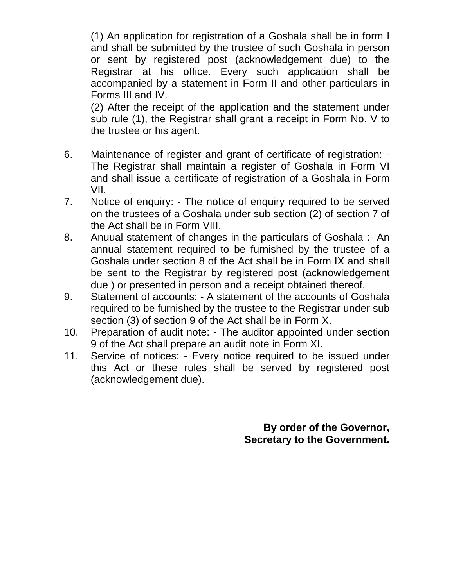(1) An application for registration of a Goshala shall be in form I and shall be submitted by the trustee of such Goshala in person or sent by registered post (acknowledgement due) to the Registrar at his office. Every such application shall be accompanied by a statement in Form II and other particulars in Forms III and IV.

 (2) After the receipt of the application and the statement under sub rule (1), the Registrar shall grant a receipt in Form No. V to the trustee or his agent.

- 6. Maintenance of register and grant of certificate of registration: The Registrar shall maintain a register of Goshala in Form VI and shall issue a certificate of registration of a Goshala in Form VII.
- 7. Notice of enquiry: The notice of enquiry required to be served on the trustees of a Goshala under sub section (2) of section 7 of the Act shall be in Form VIII.
- 8. Anuual statement of changes in the particulars of Goshala :- An annual statement required to be furnished by the trustee of a Goshala under section 8 of the Act shall be in Form IX and shall be sent to the Registrar by registered post (acknowledgement due ) or presented in person and a receipt obtained thereof.
- 9. Statement of accounts: A statement of the accounts of Goshala required to be furnished by the trustee to the Registrar under sub section (3) of section 9 of the Act shall be in Form X.
- 10. Preparation of audit note: The auditor appointed under section 9 of the Act shall prepare an audit note in Form XI.
- 11. Service of notices: Every notice required to be issued under this Act or these rules shall be served by registered post (acknowledgement due).

**By order of the Governor, Secretary to the Government.**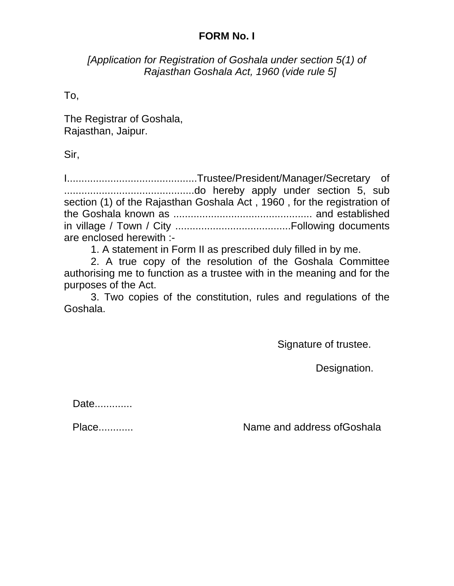# **FORM No. I**

## *[Application for Registration of Goshala under section 5(1) of Rajasthan Goshala Act, 1960 (vide rule 5]*

To,

The Registrar of Goshala, Rajasthan, Jaipur.

Sir,

I.............................................Trustee/President/Manager/Secretary of .............................................do hereby apply under section 5, sub section (1) of the Rajasthan Goshala Act , 1960 , for the registration of the Goshala known as ................................................ and established in village / Town / City ........................................Following documents are enclosed herewith :-

1. A statement in Form II as prescribed duly filled in by me.

 2. A true copy of the resolution of the Goshala Committee authorising me to function as a trustee with in the meaning and for the purposes of the Act.

 3. Two copies of the constitution, rules and regulations of the Goshala.

Signature of trustee.

Designation.

Date.............

Place............ Name and address ofGoshala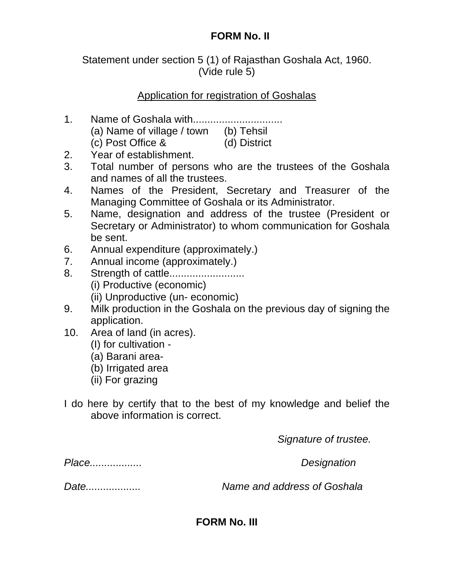# **FORM No. II**

Statement under section 5 (1) of Rajasthan Goshala Act, 1960. (Vide rule 5)

# Application for registration of Goshalas

- 1. Name of Goshala with............................... (a) Name of village / town (b) Tehsil (c) Post Office & (d) District
- 2. Year of establishment.
- 3. Total number of persons who are the trustees of the Goshala and names of all the trustees.
- 4. Names of the President, Secretary and Treasurer of the Managing Committee of Goshala or its Administrator.
- 5. Name, designation and address of the trustee (President or Secretary or Administrator) to whom communication for Goshala be sent.
- 6. Annual expenditure (approximately.)
- 7. Annual income (approximately.)
- 8. Strength of cattle............................ (i) Productive (economic) (ii) Unproductive (un- economic)
- 9. Milk production in the Goshala on the previous day of signing the application.
- 10. Area of land (in acres).
	- (I) for cultivation -
	- (a) Barani area-
	- (b) Irrigated area
	- (ii) For grazing
- I do here by certify that to the best of my knowledge and belief the above information is correct.

 *Signature of trustee.* 

*Place.................. Designation* 

*Date................... Name and address of Goshala* 

**FORM No. III**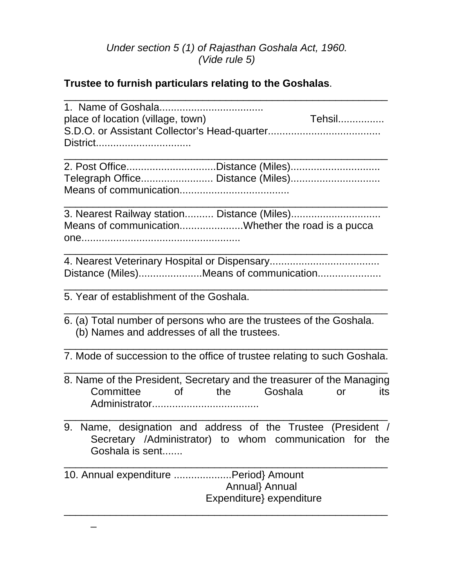# *Under section 5 (1) of Rajasthan Goshala Act, 1960. (Vide rule 5)*

### **Trustee to furnish particulars relating to the Goshalas**.

1. Name of Goshala.................................... place of location (village, town) Tehsil................ S.D.O. or Assistant Collector's Head-quarter....................................... District.................................

\_\_\_\_\_\_\_\_\_\_\_\_\_\_\_\_\_\_\_\_\_\_\_\_\_\_\_\_\_\_\_\_\_\_\_\_\_\_\_\_\_\_\_\_\_\_\_\_\_\_\_\_\_\_\_\_

\_\_\_\_\_\_\_\_\_\_\_\_\_\_\_\_\_\_\_\_\_\_\_\_\_\_\_\_\_\_\_\_\_\_\_\_\_\_\_\_\_\_\_\_\_\_\_\_\_\_\_\_\_\_\_\_

3. Nearest Railway station.......... Distance (Miles)............................ Means of communication......................Whether the road is a pucca one.......................................................

4. Nearest Veterinary Hospital or Dispensary...................................... Distance (Miles).....................Means of communication.....................

\_\_\_\_\_\_\_\_\_\_\_\_\_\_\_\_\_\_\_\_\_\_\_\_\_\_\_\_\_\_\_\_\_\_\_\_\_\_\_\_\_\_\_\_\_\_\_\_\_\_\_\_\_\_\_\_

\_\_\_\_\_\_\_\_\_\_\_\_\_\_\_\_\_\_\_\_\_\_\_\_\_\_\_\_\_\_\_\_\_\_\_\_\_\_\_\_\_\_\_\_\_\_\_\_\_\_\_\_\_\_\_\_

\_\_\_\_\_\_\_\_\_\_\_\_\_\_\_\_\_\_\_\_\_\_\_\_\_\_\_\_\_\_\_\_\_\_\_\_\_\_\_\_\_\_\_\_\_\_\_\_\_\_\_\_\_\_\_\_

5. Year of establishment of the Goshala.

6. (a) Total number of persons who are the trustees of the Goshala. (b) Names and addresses of all the trustees.

\_\_\_\_\_\_\_\_\_\_\_\_\_\_\_\_\_\_\_\_\_\_\_\_\_\_\_\_\_\_\_\_\_\_\_\_\_\_\_\_\_\_\_\_\_\_\_\_\_\_\_\_\_\_\_\_ 7. Mode of succession to the office of trustee relating to such Goshala. \_\_\_\_\_\_\_\_\_\_\_\_\_\_\_\_\_\_\_\_\_\_\_\_\_\_\_\_\_\_\_\_\_\_\_\_\_\_\_\_\_\_\_\_\_\_\_\_\_\_\_\_\_\_\_\_

- 8. Name of the President, Secretary and the treasurer of the Managing Committee of the Goshala or its Administrator..................................... \_\_\_\_\_\_\_\_\_\_\_\_\_\_\_\_\_\_\_\_\_\_\_\_\_\_\_\_\_\_\_\_\_\_\_\_\_\_\_\_\_\_\_\_\_\_\_\_\_\_\_\_\_\_\_\_
- 9. Name, designation and address of the Trustee (President / Secretary /Administrator) to whom communication for the Goshala is sent.......

\_\_\_\_\_\_\_\_\_\_\_\_\_\_\_\_\_\_\_\_\_\_\_\_\_\_\_\_\_\_\_\_\_\_\_\_\_\_\_\_\_\_\_\_\_\_\_\_\_\_\_\_\_\_\_\_

\_\_\_\_\_\_\_\_\_\_\_\_\_\_\_\_\_\_\_\_\_\_\_\_\_\_\_\_\_\_\_\_\_\_\_\_\_\_\_\_\_\_\_\_\_\_\_\_\_\_\_\_\_\_\_\_

10. Annual expenditure ....................Period} Amount Annual} Annual Expenditure} expenditure

 $\overline{\phantom{a}}$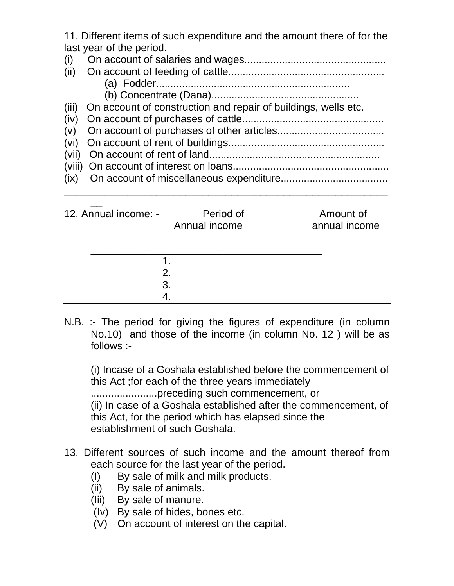| 11. Different items of such expenditure and the amount there of for the |
|-------------------------------------------------------------------------|
| last year of the period.                                                |
|                                                                         |

- (ii) On account of feeding of cattle......................................................
	- (a) Fodder................................................................... (b) Concentrate (Dana)...................................................
	-
- (iii) On account of construction and repair of buildings, wells etc.
- (iv) On account of purchases of cattle.................................................
- (v) On account of purchases of other articles................................... (vi) On account of rent of buildings......................................................
- (vii) On account of rent of land...........................................................
- (viii) On account of interest on loans......................................................
- (ix) On account of miscellaneous expenditure..................................... \_\_\_\_\_\_\_\_\_\_\_\_\_\_\_\_\_\_\_\_\_\_\_\_\_\_\_\_\_\_\_\_\_\_\_\_\_\_\_\_\_\_\_\_\_\_\_\_\_\_\_\_\_\_\_\_

| 12. Annual income: - | Period of<br>Annual income | Amount of<br>annual income |
|----------------------|----------------------------|----------------------------|
|                      |                            |                            |
|                      | 2.                         |                            |
|                      | 3.                         |                            |
|                      |                            |                            |

N.B. :- The period for giving the figures of expenditure (in column No.10) and those of the income (in column No. 12 ) will be as follows :-

 (i) Incase of a Goshala established before the commencement of this Act ;for each of the three years immediately .......................preceding such commencement, or (ii) In case of a Goshala established after the commencement, of this Act, for the period which has elapsed since the establishment of such Goshala.

- 13. Different sources of such income and the amount thereof from each source for the last year of the period.
	- (I) By sale of milk and milk products.
	- (ii) By sale of animals.
	- (Iii) By sale of manure.
	- (Iv) By sale of hides, bones etc.
	- (V) On account of interest on the capital.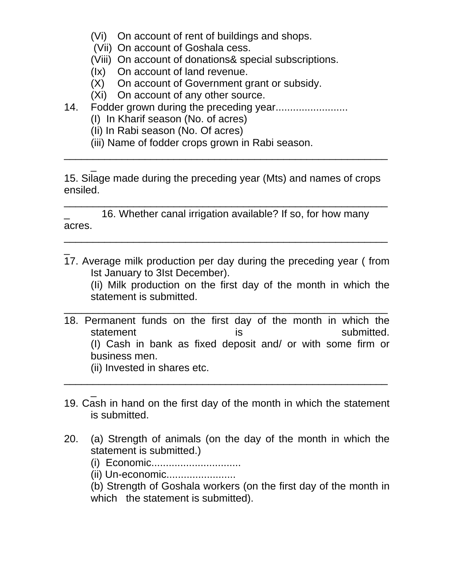- (Vi) On account of rent of buildings and shops.
- (Vii) On account of Goshala cess.
- (Viii) On account of donations& special subscriptions.
- (Ix) On account of land revenue.
- (X) On account of Government grant or subsidy.
- (Xi) On account of any other source.
- 14. Fodder grown during the preceding year........................
	- (I) In Kharif season (No. of acres)
	- (Ii) In Rabi season (No. Of acres)

 $\overline{\phantom{a}}$ 

(iii) Name of fodder crops grown in Rabi season.

15. Silage made during the preceding year (Mts) and names of crops ensiled.

\_\_\_\_\_\_\_\_\_\_\_\_\_\_\_\_\_\_\_\_\_\_\_\_\_\_\_\_\_\_\_\_\_\_\_\_\_\_\_\_\_\_\_\_\_\_\_\_\_\_\_\_\_\_\_\_

\_\_\_\_\_\_\_\_\_\_\_\_\_\_\_\_\_\_\_\_\_\_\_\_\_\_\_\_\_\_\_\_\_\_\_\_\_\_\_\_\_\_\_\_\_\_\_\_\_\_\_\_\_\_\_\_

\_\_\_\_\_\_\_\_\_\_\_\_\_\_\_\_\_\_\_\_\_\_\_\_\_\_\_\_\_\_\_\_\_\_\_\_\_\_\_\_\_\_\_\_\_\_\_\_\_\_\_\_\_\_\_\_

16. Whether canal irrigation available? If so, for how many acres.

 $\overline{\phantom{a}}$ 17. Average milk production per day during the preceding year ( from Ist January to 3Ist December).

 (Ii) Milk production on the first day of the month in which the statement is submitted.

18. Permanent funds on the first day of the month in which the statement is is submitted. (I) Cash in bank as fixed deposit and/ or with some firm or business men.

\_\_\_\_\_\_\_\_\_\_\_\_\_\_\_\_\_\_\_\_\_\_\_\_\_\_\_\_\_\_\_\_\_\_\_\_\_\_\_\_\_\_\_\_\_\_\_\_\_\_\_\_\_\_\_\_

(ii) Invested in shares etc.

 $\overline{\phantom{a}}$ 19. Cash in hand on the first day of the month in which the statement is submitted.

\_\_\_\_\_\_\_\_\_\_\_\_\_\_\_\_\_\_\_\_\_\_\_\_\_\_\_\_\_\_\_\_\_\_\_\_\_\_\_\_\_\_\_\_\_\_\_\_\_\_\_\_\_\_\_\_

- 20. (a) Strength of animals (on the day of the month in which the statement is submitted.)
	- (i) Economic...............................
	- (ii) Un-economic........................
	- (b) Strength of Goshala workers (on the first day of the month in which the statement is submitted).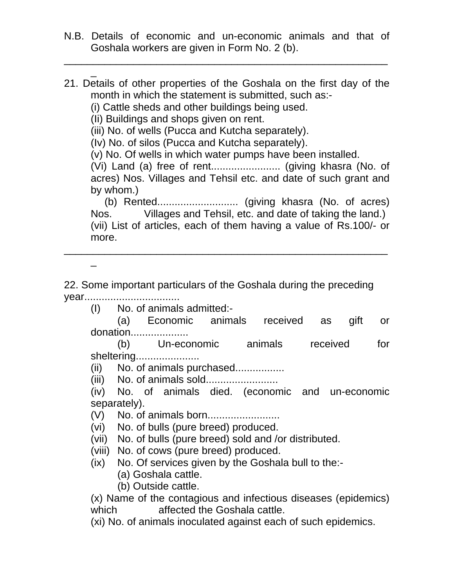N.B. Details of economic and un-economic animals and that of Goshala workers are given in Form No. 2 (b).

\_\_\_\_\_\_\_\_\_\_\_\_\_\_\_\_\_\_\_\_\_\_\_\_\_\_\_\_\_\_\_\_\_\_\_\_\_\_\_\_\_\_\_\_\_\_\_\_\_\_\_\_\_\_\_\_

21. Details of other properties of the Goshala on the first day of the month in which the statement is submitted, such as:-

(i) Cattle sheds and other buildings being used.

(Ii) Buildings and shops given on rent.

(iii) No. of wells (Pucca and Kutcha separately).

(Iv) No. of silos (Pucca and Kutcha separately).

(v) No. Of wells in which water pumps have been installed.

(Vi) Land (a) free of rent........................ (giving khasra (No. of acres) Nos. Villages and Tehsil etc. and date of such grant and by whom.)

 (b) Rented............................ (giving khasra (No. of acres) Nos. Villages and Tehsil, etc. and date of taking the land.) (vii) List of articles, each of them having a value of Rs.100/- or more.

 $\overline{\phantom{a}}$ 

 $\overline{\phantom{a}}$ 

22. Some important particulars of the Goshala during the preceding year.................................

\_\_\_\_\_\_\_\_\_\_\_\_\_\_\_\_\_\_\_\_\_\_\_\_\_\_\_\_\_\_\_\_\_\_\_\_\_\_\_\_\_\_\_\_\_\_\_\_\_\_\_\_\_\_\_\_

(I) No. of animals admitted:-

 (a) Economic animals received as gift or donation....................

 (b) Un-economic animals received for sheltering......................

 $(ii)$  No. of animals purchased.................

(iii) No. of animals sold.........................

 (iv) No. of animals died. (economic and un-economic separately).

(V) No. of animals born.........................

(vi) No. of bulls (pure breed) produced.

(vii) No. of bulls (pure breed) sold and /or distributed.

(viii) No. of cows (pure breed) produced.

- (ix) No. Of services given by the Goshala bull to the:-
	- (a) Goshala cattle.

(b) Outside cattle.

 (x) Name of the contagious and infectious diseases (epidemics) which affected the Goshala cattle.

(xi) No. of animals inoculated against each of such epidemics.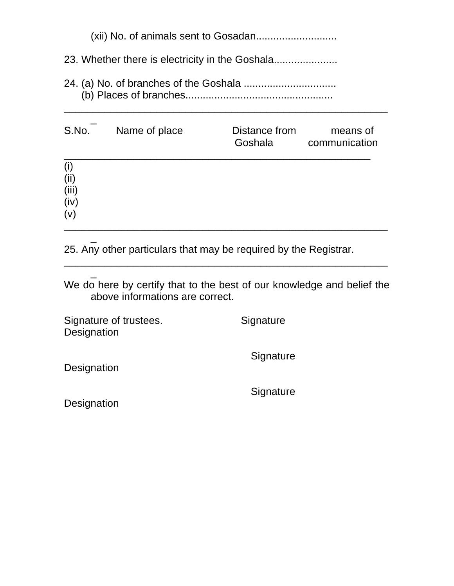(xii) No. of animals sent to Gosadan............................

23. Whether there is electricity in the Goshala......................

24. (a) No. of branches of the Goshala ................................ (b) Places of branches...................................................

| S.No.                              | Name of place | Distance from<br>Goshala | means of<br>communication |
|------------------------------------|---------------|--------------------------|---------------------------|
| (i)<br>(i)<br>(iii)<br>(iv)<br>(v) |               |                          |                           |

\_\_\_\_\_\_\_\_\_\_\_\_\_\_\_\_\_\_\_\_\_\_\_\_\_\_\_\_\_\_\_\_\_\_\_\_\_\_\_\_\_\_\_\_\_\_\_\_\_\_\_\_\_\_\_\_

 $\overline{\phantom{a}}$ 25. Any other particulars that may be required by the Registrar.

We do here by certify that to the best of our knowledge and belief the above informations are correct.

\_\_\_\_\_\_\_\_\_\_\_\_\_\_\_\_\_\_\_\_\_\_\_\_\_\_\_\_\_\_\_\_\_\_\_\_\_\_\_\_\_\_\_\_\_\_\_\_\_\_\_\_\_\_\_\_

| Signature of trustees.<br>Designation | Signature |
|---------------------------------------|-----------|
| Designation                           | Signature |
| Designation                           | Signature |

 $\overline{\phantom{a}}$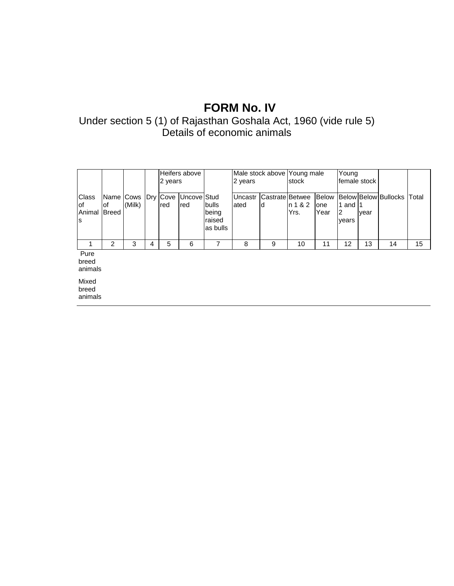# **FORM No. IV**

Under section 5 (1) of Rajasthan Goshala Act, 1960 (vide rule 5) Details of economic animals

|                             |                                        |        |   | 2 years         | Heifers above      |                                      | Male stock above Young male<br>2 years |                       | stock            |                             | Young<br>female stock    |      |                             |       |
|-----------------------------|----------------------------------------|--------|---|-----------------|--------------------|--------------------------------------|----------------------------------------|-----------------------|------------------|-----------------------------|--------------------------|------|-----------------------------|-------|
| Class<br>0f<br>Animal<br>ls | Name Cows<br><b>of</b><br><b>Breed</b> | (Milk) |   | Dry Cove<br>red | Uncove Stud<br>red | bulls<br>being<br>raised<br>as bulls | <b>Uncastr</b><br>ated                 | Castrate Betwee<br>ld | ln 1 & 2<br>Yrs. | <b>Below</b><br>one<br>Year | 1 and $1$<br>12<br>years | year | <b>Below Below Bullocks</b> | Total |
|                             | 2                                      | 3      | 4 | 5               | 6                  | 7                                    | 8                                      | 9                     | 10               | 11                          | 12                       | 13   | 14                          | 15    |
| Pure<br>breed<br>animals    |                                        |        |   |                 |                    |                                      |                                        |                       |                  |                             |                          |      |                             |       |
| Mixed<br>breed<br>animals   |                                        |        |   |                 |                    |                                      |                                        |                       |                  |                             |                          |      |                             |       |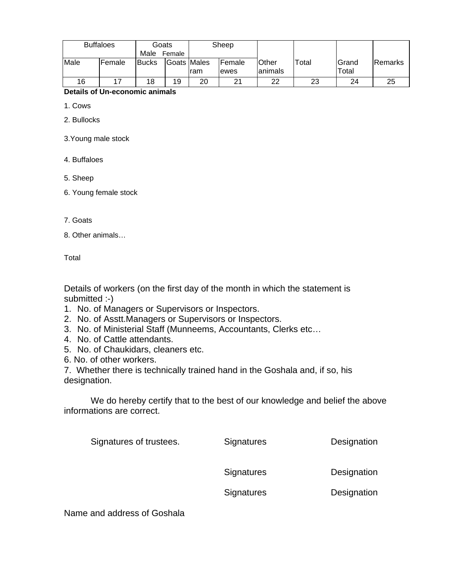| <b>Buffaloes</b> |         | Goats<br>Male<br>Female |             | Sheep |                        |                          |       |                       |                |
|------------------|---------|-------------------------|-------------|-------|------------------------|--------------------------|-------|-----------------------|----------------|
| Male             | lFemale | <b>Bucks</b>            | Goats Males | ram   | <b>Female</b><br>lewes | <b>Other</b><br>lanimals | Total | <b>Grand</b><br>Total | <b>Remarks</b> |
| 16               |         | 18                      | 19          | 20    | 21                     | 22                       | 23    | 24                    | 25             |

**Details of Un-economic animals**

1. Cows

2. Bullocks

3.Young male stock

- 4. Buffaloes
- 5. Sheep
- 6. Young female stock
- 7. Goats

8. Other animals…

Total

Details of workers (on the first day of the month in which the statement is submitted :-)

- 1. No. of Managers or Supervisors or Inspectors.
- 2. No. of Asstt.Managers or Supervisors or Inspectors.
- 3. No. of Ministerial Staff (Munneems, Accountants, Clerks etc…
- 4. No. of Cattle attendants.
- 5. No. of Chaukidars, cleaners etc.
- 6. No. of other workers.

7. Whether there is technically trained hand in the Goshala and, if so, his designation.

 We do hereby certify that to the best of our knowledge and belief the above informations are correct.

| Signatures of trustees.     | Signatures | Designation |  |  |
|-----------------------------|------------|-------------|--|--|
|                             | Signatures | Designation |  |  |
|                             | Signatures | Designation |  |  |
| Name and address of Goshala |            |             |  |  |

Name and address of Goshala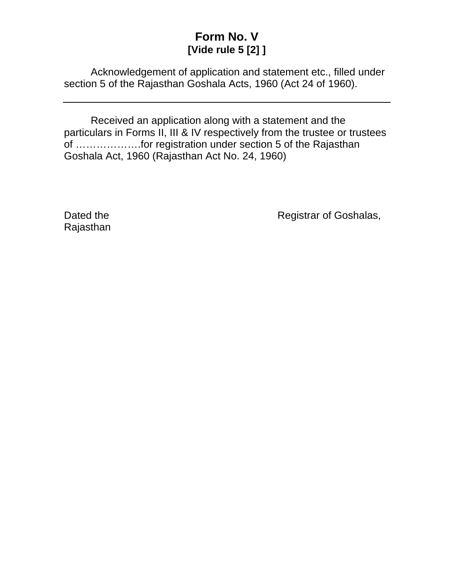# **Form No. V [Vide rule 5 [2] ]**

 Acknowledgement of application and statement etc., filled under section 5 of the Rajasthan Goshala Acts, 1960 (Act 24 of 1960).

 Received an application along with a statement and the particulars in Forms II, III & IV respectively from the trustee or trustees of ……………….for registration under section 5 of the Rajasthan Goshala Act, 1960 (Rajasthan Act No. 24, 1960)

Rajasthan

Dated the **Registrar of Goshalas**,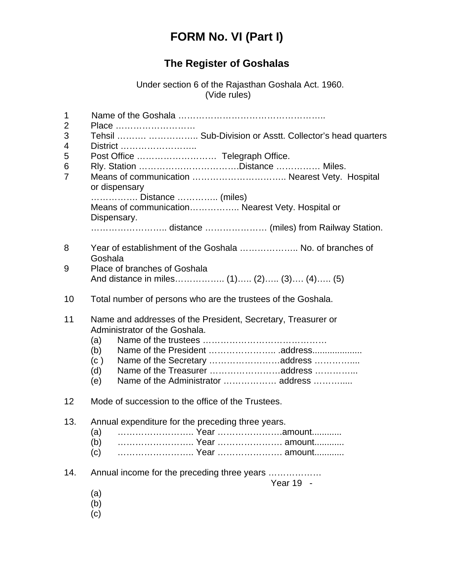# **FORM No. VI (Part I)**

# **The Register of Goshalas**

 Under section 6 of the Rajasthan Goshala Act. 1960. (Vide rules)

| $\mathbf{1}$<br>$\overline{2}$<br>3<br>4<br>5<br>6<br>$\overline{7}$ | Place<br>Tehsil   Sub-Division or Asstt. Collector's head quarters<br>District<br>Post Office  Telegraph Office.<br>or dispensary<br>Distance  (miles)<br>Means of communication Nearest Vety. Hospital or<br>Dispensary. |
|----------------------------------------------------------------------|---------------------------------------------------------------------------------------------------------------------------------------------------------------------------------------------------------------------------|
| 8                                                                    | Year of establishment of the Goshala  No. of branches of<br>Goshala                                                                                                                                                       |
| 9                                                                    | Place of branches of Goshala                                                                                                                                                                                              |
| 10                                                                   | Total number of persons who are the trustees of the Goshala.                                                                                                                                                              |
| 11                                                                   | Name and addresses of the President, Secretary, Treasurer or<br>Administrator of the Goshala.<br>(a)<br>(b)<br>(c)<br>(d)<br>(e)                                                                                          |
| 12                                                                   | Mode of succession to the office of the Trustees.                                                                                                                                                                         |
| 13.                                                                  | Annual expenditure for the preceding three years.<br>(a)<br>(b)<br>Year  amount<br>Year  amount<br>(c)                                                                                                                    |
| 14.                                                                  | Annual income for the preceding three years<br>Year 19 -<br>(a)<br>(b)<br>(c)                                                                                                                                             |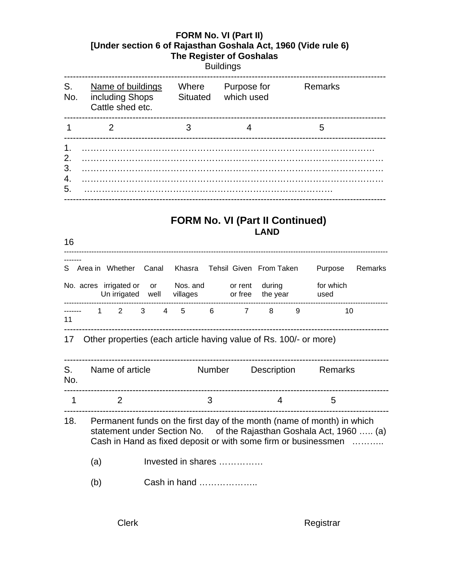### **FORM No. VI (Part II) [Under section 6 of Rajasthan Goshala Act, 1960 (Vide rule 6) The Register of Goshalas**

**Buildings** in the contract of the Buildings

| S.<br>No.                  | Name of buildings<br>including Shops<br>Cattle shed etc. |   | Where Purpose for<br>Situated which used              | Remarks |
|----------------------------|----------------------------------------------------------|---|-------------------------------------------------------|---------|
| $\overline{1}$             | $\mathcal{P}$                                            | 3 | 4                                                     | 5       |
| 1.<br>2.<br>3.<br>4.<br>5. |                                                          |   |                                                       |         |
| 16                         |                                                          |   | <b>FORM No. VI (Part II Continued)</b><br><b>LAND</b> |         |

| S.        | Area in Whether Canal Khasra Tehsil Given From Taken              |                    |   |                                             | Remarks<br>Purpose                                                                                                                                                                                              |  |  |  |  |  |  |
|-----------|-------------------------------------------------------------------|--------------------|---|---------------------------------------------|-----------------------------------------------------------------------------------------------------------------------------------------------------------------------------------------------------------------|--|--|--|--|--|--|
|           | No. acres irrigated or or Nos. and or rent during                 |                    |   | Un irrigated well villages or free the year | for which<br>used                                                                                                                                                                                               |  |  |  |  |  |  |
| 11        | ------- 1 2 3 4 5 6 7 8                                           |                    |   | 9                                           | 10                                                                                                                                                                                                              |  |  |  |  |  |  |
| 17        | Other properties (each article having value of Rs. 100/- or more) |                    |   |                                             |                                                                                                                                                                                                                 |  |  |  |  |  |  |
| S.<br>No. | Name of article                                                   |                    |   | Number Description Remarks                  |                                                                                                                                                                                                                 |  |  |  |  |  |  |
| 1         | 2                                                                 |                    | 3 | 4                                           | 5                                                                                                                                                                                                               |  |  |  |  |  |  |
| 18.       |                                                                   |                    |   |                                             | Permanent funds on the first day of the month (name of month) in which<br>statement under Section No. of the Rajasthan Goshala Act, 1960  (a)<br>Cash in Hand as fixed deposit or with some firm or businessmen |  |  |  |  |  |  |
|           | (a)                                                               | Invested in shares |   |                                             |                                                                                                                                                                                                                 |  |  |  |  |  |  |
|           | (b)                                                               | Cash in hand       |   |                                             |                                                                                                                                                                                                                 |  |  |  |  |  |  |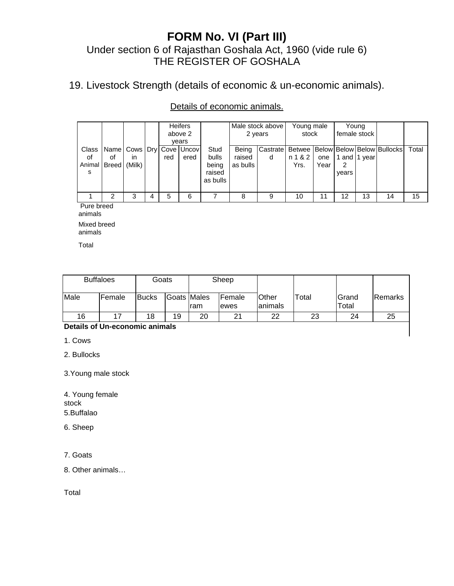# **FORM No. VI (Part III)** Under section 6 of Rajasthan Goshala Act, 1960 (vide rule 6) THE REGISTER OF GOSHALA

### 19. Livestock Strength (details of economic & un-economic animals).

### Details of economic animals.

|                    |                    |              |   | <b>Heifers</b><br>above 2<br>vears |                                                    | Male stock above<br>2 years                  |                             | Young male<br>stock                                        |                 | Young<br>female stock |            |              |    |       |
|--------------------|--------------------|--------------|---|------------------------------------|----------------------------------------------------|----------------------------------------------|-----------------------------|------------------------------------------------------------|-----------------|-----------------------|------------|--------------|----|-------|
| оf<br>Animal<br>-S | οf<br><b>Breed</b> | ın<br>(Milk) |   | red                                | Class   Name   Cows   Dry   Cove   Uncov  <br>ered | Stud<br>bulls<br>being<br>raised<br>as bulls | Being<br>raised<br>as bulls | Castrate  Betwee   Below   Below   Below   Bullocks  <br>d | n 1 & 2<br>Yrs. | one<br>Year           | 2<br>vears | 1 and 1 year |    | Total |
|                    | ົ                  | 3            | 4 | 5                                  | 6                                                  |                                              |                             | 9                                                          | 10              | 11                    | 12         | 13           | 14 | 15    |

 Pure breed animals

Mixed breed animals

Total

|      | <b>Buffaloes</b> | Goats        |             |     | Sheep                  |                   |             |                |                |
|------|------------------|--------------|-------------|-----|------------------------|-------------------|-------------|----------------|----------------|
| Male | <b>Female</b>    | <b>Bucks</b> | Goats Males | ram | <b>Female</b><br>lewes | Other<br>lanimals | $\tau$ otal | Grand<br>Total | <b>Remarks</b> |
| 16   |                  | 18           | 19          | 20  | 21                     | 22                | 23          | 24             | 25             |

**Details of Un-economic animals**

1. Cows

2. Bullocks

3.Young male stock

4. Young female stock 5.Buffalao

6. Sheep

7. Goats

8. Other animals…

Total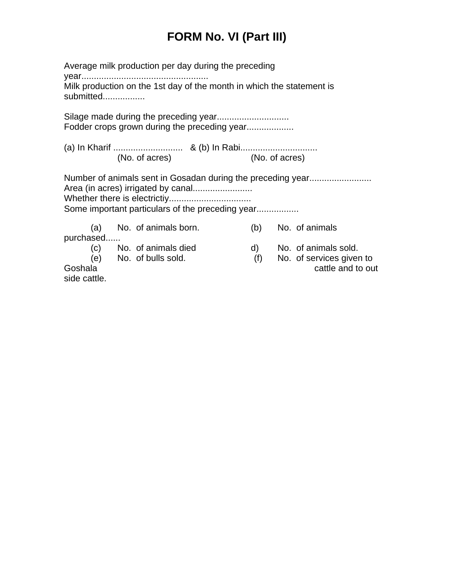# **FORM No. VI (Part III)**

| year<br>submitted       |                                                   | Average milk production per day during the preceding<br>Milk production on the 1st day of the month in which the statement is |                |                                                                          |
|-------------------------|---------------------------------------------------|-------------------------------------------------------------------------------------------------------------------------------|----------------|--------------------------------------------------------------------------|
|                         |                                                   | Fodder crops grown during the preceding year                                                                                  |                |                                                                          |
|                         | (No. of acres)                                    |                                                                                                                               | (No. of acres) |                                                                          |
|                         |                                                   | Some important particulars of the preceding year                                                                              |                |                                                                          |
| (a)<br>purchased        | No. of animals born.                              |                                                                                                                               | (b)            | No. of animals                                                           |
| Goshala<br>side cattle. | (c) No. of animals died<br>(e) No. of bulls sold. |                                                                                                                               | (f)            | d) No. of animals sold.<br>No. of services given to<br>cattle and to out |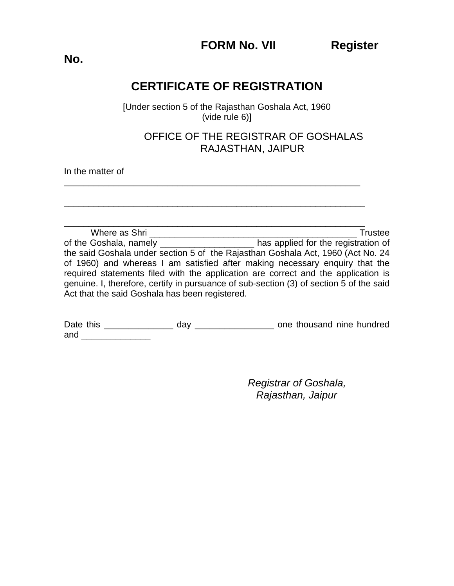**No.** 

# **CERTIFICATE OF REGISTRATION**

[Under section 5 of the Rajasthan Goshala Act, 1960 (vide rule 6)]

> OFFICE OF THE REGISTRAR OF GOSHALAS RAJASTHAN, JAIPUR

In the matter of

\_\_\_\_\_\_\_\_\_\_\_\_\_\_\_\_\_\_\_\_\_\_\_\_\_\_\_\_\_\_\_\_\_\_\_\_\_\_\_\_\_\_\_\_\_\_\_\_\_\_\_\_\_\_\_\_\_\_\_\_\_ Where as Shri \_\_\_\_\_\_\_\_\_\_\_\_\_\_\_\_\_\_\_\_\_\_\_\_\_\_\_\_\_\_\_\_\_\_\_\_\_\_\_\_\_\_ Trustee of the Goshala, namely \_\_\_\_\_\_\_\_\_\_\_\_\_\_\_\_\_\_\_\_\_ has applied for the registration of the said Goshala under section 5 of the Rajasthan Goshala Act, 1960 (Act No. 24 of 1960) and whereas I am satisfied after making necessary enquiry that the required statements filed with the application are correct and the application is genuine. I, therefore, certify in pursuance of sub-section (3) of section 5 of the said Act that the said Goshala has been registered.

\_\_\_\_\_\_\_\_\_\_\_\_\_\_\_\_\_\_\_\_\_\_\_\_\_\_\_\_\_\_\_\_\_\_\_\_\_\_\_\_\_\_\_\_\_\_\_\_\_\_\_\_\_\_\_\_\_\_\_\_\_

Date this \_\_\_\_\_\_\_\_\_\_\_\_\_\_ day \_\_\_\_\_\_\_\_\_\_\_\_\_\_\_\_ one thousand nine hundred and  $\Box$ 

> *Registrar of Goshala, Rajasthan, Jaipur*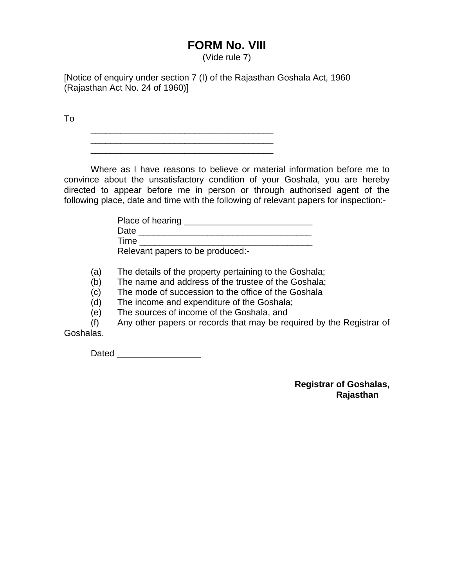# **FORM No. VIII**

(Vide rule 7)

[Notice of enquiry under section 7 (I) of the Rajasthan Goshala Act, 1960 (Rajasthan Act No. 24 of 1960)]

To

 \_\_\_\_\_\_\_\_\_\_\_\_\_\_\_\_\_\_\_\_\_\_\_\_\_\_\_\_\_\_\_\_\_\_\_\_\_  $\frac{1}{\sqrt{2}}$  ,  $\frac{1}{\sqrt{2}}$  ,  $\frac{1}{\sqrt{2}}$  ,  $\frac{1}{\sqrt{2}}$  ,  $\frac{1}{\sqrt{2}}$  ,  $\frac{1}{\sqrt{2}}$  ,  $\frac{1}{\sqrt{2}}$  ,  $\frac{1}{\sqrt{2}}$  ,  $\frac{1}{\sqrt{2}}$  ,  $\frac{1}{\sqrt{2}}$  ,  $\frac{1}{\sqrt{2}}$  ,  $\frac{1}{\sqrt{2}}$  ,  $\frac{1}{\sqrt{2}}$  ,  $\frac{1}{\sqrt{2}}$  ,  $\frac{1}{\sqrt{2}}$ 

 Where as I have reasons to believe or material information before me to convince about the unsatisfactory condition of your Goshala, you are hereby directed to appear before me in person or through authorised agent of the following place, date and time with the following of relevant papers for inspection:-

|      | Place of hearing                 |
|------|----------------------------------|
| Date |                                  |
| Time |                                  |
|      | Relevant papers to be produced:- |

(a) The details of the property pertaining to the Goshala;

(b) The name and address of the trustee of the Goshala;

(c) The mode of succession to the office of the Goshala

(d) The income and expenditure of the Goshala;

(e) The sources of income of the Goshala, and

 (f) Any other papers or records that may be required by the Registrar of Goshalas.

Dated \_\_\_\_\_\_\_\_\_\_\_\_\_\_\_\_\_

**Registrar of Goshalas, Rajasthan**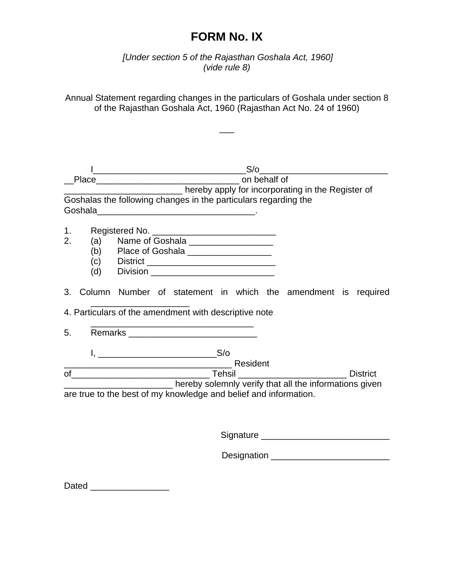# **FORM No. IX**

*[Under section 5 of the Rajasthan Goshala Act, 1960] (vide rule 8)* 

Annual Statement regarding changes in the particulars of Goshala under section 8 of the Rajasthan Goshala Act, 1960 (Rajasthan Act No. 24 of 1960)

 $\overline{\phantom{a}}$ 

|    |     | and the Register of the results of the register of the Register of |
|----|-----|--------------------------------------------------------------------|
|    |     | Goshalas the following changes in the particulars regarding the    |
| 1. |     | Registered No. _____________________________                       |
| 2. |     | (a) Name of Goshala ____________________                           |
|    |     | (b) Place of Goshala $\frac{1}{2}$                                 |
|    |     |                                                                    |
|    | (d) | Division ____________________________                              |
| 3. |     | Column Number of statement in which the amendment is required      |
|    |     | 4. Particulars of the amendment with descriptive note              |
| 5. |     |                                                                    |
|    |     | $I, \underline{\hspace{1cm}}$ S/o                                  |
|    |     | Resident                                                           |
|    |     | <b>District</b>                                                    |
|    |     | hereby solemnly verify that all the informations given             |
|    |     | are true to the best of my knowledge and belief and information.   |
|    |     |                                                                    |
|    |     |                                                                    |

Signature \_\_\_\_\_\_\_\_\_\_\_\_\_\_\_\_\_\_\_\_\_\_\_\_\_\_

Designation \_\_\_\_\_\_\_\_\_\_\_\_\_\_\_\_\_\_\_\_\_\_\_\_

Dated \_\_\_\_\_\_\_\_\_\_\_\_\_\_\_\_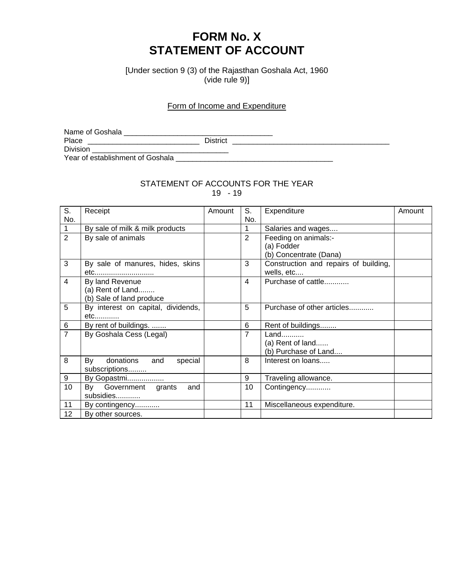# **FORM No. X STATEMENT OF ACCOUNT**

[Under section 9 (3) of the Rajasthan Goshala Act, 1960 (vide rule 9)]

### Form of Income and Expenditure

| Name of Goshala                  |          |  |
|----------------------------------|----------|--|
| Place                            | District |  |
| <b>Division</b>                  |          |  |
| Year of establishment of Goshala |          |  |

#### STATEMENT OF ACCOUNTS FOR THE YEAR 19 - 19

| S.             | Receipt                            | Amount | S.             | Expenditure                           | Amount |
|----------------|------------------------------------|--------|----------------|---------------------------------------|--------|
| No.            |                                    |        | No.            |                                       |        |
| $\mathbf{1}$   | By sale of milk & milk products    |        | 1              | Salaries and wages                    |        |
| $\overline{2}$ | By sale of animals                 |        | $\overline{2}$ | Feeding on animals:-                  |        |
|                |                                    |        |                | (a) Fodder                            |        |
|                |                                    |        |                | (b) Concentrate (Dana)                |        |
| 3              | By sale of manures, hides, skins   |        | 3              | Construction and repairs of building, |        |
|                | etc                                |        |                | wells, etc                            |        |
| $\overline{4}$ | By land Revenue                    |        | 4              | Purchase of cattle                    |        |
|                | (a) Rent of Land                   |        |                |                                       |        |
|                | (b) Sale of land produce           |        |                |                                       |        |
| 5              | By interest on capital, dividends, |        | 5              | Purchase of other articles            |        |
|                | $etc.$                             |        |                |                                       |        |
| $\,6$          | By rent of buildings.              |        | 6              | Rent of buildings                     |        |
| $\overline{7}$ | By Goshala Cess (Legal)            |        | $\overline{7}$ | $Land$                                |        |
|                |                                    |        |                | (a) Rent of land                      |        |
|                |                                    |        |                | (b) Purchase of Land                  |        |
| 8              | donations<br>By<br>and<br>special  |        | 8              | Interest on loans                     |        |
|                | subscriptions                      |        |                |                                       |        |
| 9              | By Gopastmi                        |        | 9              | Traveling allowance.                  |        |
| 10             | Government grants<br>By<br>and     |        | 10             | Contingency                           |        |
|                | subsidies                          |        |                |                                       |        |
| 11             | By contingency                     |        | 11             | Miscellaneous expenditure.            |        |
| 12             | By other sources.                  |        |                |                                       |        |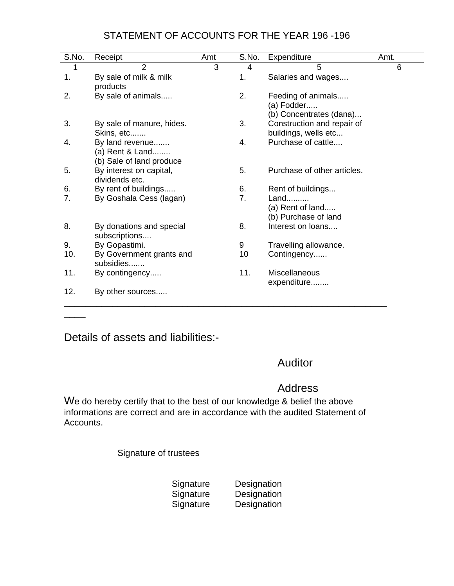# STATEMENT OF ACCOUNTS FOR THE YEAR 196 -196

| S.No. | Receipt                                                        | Amt | S.No. | Expenditure                                                 | Amt. |
|-------|----------------------------------------------------------------|-----|-------|-------------------------------------------------------------|------|
| 1     | $\overline{2}$                                                 | 3   | 4     | 5                                                           | 6    |
| 1.    | By sale of milk & milk<br>products                             |     | 1.    | Salaries and wages                                          |      |
| 2.    | By sale of animals                                             |     | 2.    | Feeding of animals<br>(a) Fodder<br>(b) Concentrates (dana) |      |
| 3.    | By sale of manure, hides.<br>Skins, etc                        |     | 3.    | Construction and repair of<br>buildings, wells etc          |      |
| 4.    | By land revenue<br>(a) Rent & Land<br>(b) Sale of land produce |     | 4.    | Purchase of cattle                                          |      |
| 5.    | By interest on capital,<br>dividends etc.                      |     | 5.    | Purchase of other articles.                                 |      |
| 6.    | By rent of buildings                                           |     | 6.    | Rent of buildings                                           |      |
| 7.    | By Goshala Cess (lagan)                                        |     | 7.    | Land<br>(a) Rent of land<br>(b) Purchase of land            |      |
| 8.    | By donations and special<br>subscriptions                      |     | 8.    | Interest on loans                                           |      |
| 9.    | By Gopastimi.                                                  |     | 9     | Travelling allowance.                                       |      |
| 10.   | By Government grants and<br>subsidies                          |     | 10    | Contingency                                                 |      |
| 11.   | By contingency                                                 |     | 11.   | Miscellaneous<br>expenditure                                |      |
| 12.   | By other sources                                               |     |       |                                                             |      |

Details of assets and liabilities:-

 $\overline{\phantom{a}}$ 

# Auditor

# Address

We do hereby certify that to the best of our knowledge & belief the above informations are correct and are in accordance with the audited Statement of Accounts.

Signature of trustees

| Signature | Designation |
|-----------|-------------|
| Signature | Designation |
| Signature | Designation |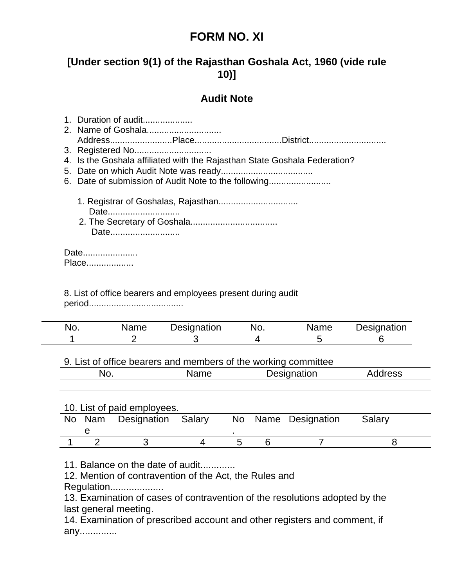# **FORM NO. XI**

# **[Under section 9(1) of the Rajasthan Goshala Act, 1960 (vide rule 10)]**

## **Audit Note**

| 1. Duration of audit |                                                                           |
|----------------------|---------------------------------------------------------------------------|
|                      |                                                                           |
|                      |                                                                           |
|                      |                                                                           |
|                      | 4. Is the Goshala affiliated with the Rajasthan State Goshala Federation? |
|                      |                                                                           |
|                      | 6. Date of submission of Audit Note to the following                      |
| Date<br>Date         |                                                                           |
| Date                 |                                                                           |

Place...................

8. List of office bearers and employees present during audit period......................................

| vv. | $-1$ | $-0.0000000000$<br>'uor.<br>-- | n.<br>'NU. | $\sim$<br>ιe | .<br>$-$<br> |
|-----|------|--------------------------------|------------|--------------|--------------|
|     |      |                                |            |              |              |

9. List of office bearers and members of the working committee

| NC<br>$\cdots$ | ____ | <u>ation</u><br>$  -$ | $- - - -$ |
|----------------|------|-----------------------|-----------|
|                |      |                       |           |

| 10. List of paid employees. |  |
|-----------------------------|--|
|-----------------------------|--|

|  | No Nam Designation Salary No Name Designation Salary |  |  |  |
|--|------------------------------------------------------|--|--|--|
|  |                                                      |  |  |  |
|  |                                                      |  |  |  |

11. Balance on the date of audit.............

12. Mention of contravention of the Act, the Rules and

Regulation....................

13. Examination of cases of contravention of the resolutions adopted by the last general meeting.

14. Examination of prescribed account and other registers and comment, if any..............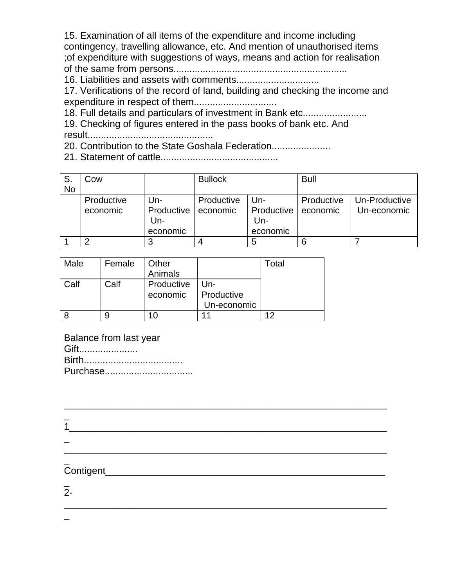15. Examination of all items of the expenditure and income including contingency, travelling allowance, etc. And mention of unauthorised items ;of expenditure with suggestions of ways, means and action for realisation of the same from persons.................................................................

16. Liabilities and assets with comments...............................

17. Verifications of the record of land, building and checking the income and expenditure in respect of them...............................

18. Full details and particulars of investment in Bank etc.......................

19. Checking of figures entered in the pass books of bank etc. And result...............................................

20. Contribution to the State Goshala Federation...........................

21. Statement of cattle............................................

| S.<br><b>No</b> | Cow        |                     | <b>Bullock</b> |                     | <b>Bull</b> |               |
|-----------------|------------|---------------------|----------------|---------------------|-------------|---------------|
|                 |            |                     |                |                     |             |               |
|                 | Productive | Un-                 | Productive     | Un-                 | Productive  | Un-Productive |
|                 | economic   | Productive  <br>Un- | economic       | Productive<br>$Un-$ | economic    | Un-economic   |
|                 |            | economic            |                | economic            |             |               |
|                 | ⌒          |                     |                | 5                   |             |               |

| Male | Female | Other<br>Animals       |                                  | Total |
|------|--------|------------------------|----------------------------------|-------|
| Calf | Calf   | Productive<br>economic | Un-<br>Productive<br>Un-economic |       |
|      |        | 10                     |                                  | イク    |

Balance from last year Gift........................... Birth..................................... Purchase..................................

| ø |  |  |  |
|---|--|--|--|
|   |  |  |  |
|   |  |  |  |

\_\_\_\_\_\_\_\_\_\_\_\_\_\_\_\_\_\_\_\_\_\_\_\_\_\_\_\_\_\_\_\_\_\_\_\_\_\_\_\_\_\_\_\_\_\_\_\_\_\_\_\_\_\_\_\_\_\_\_\_

\_\_\_\_\_\_\_\_\_\_\_\_\_\_\_\_\_\_\_\_\_\_\_\_\_\_\_\_\_\_\_\_\_\_\_\_\_\_\_\_\_\_\_\_\_\_\_\_\_\_\_\_\_\_\_\_\_\_\_\_

## Contigent\_\_\_\_\_\_\_\_\_\_\_\_\_\_\_\_\_\_\_\_\_\_\_\_\_\_\_\_\_\_\_\_\_\_\_\_\_\_\_\_\_\_\_\_\_\_\_\_\_\_\_\_

 $\overline{a}$ 2-

 $\overline{a}$